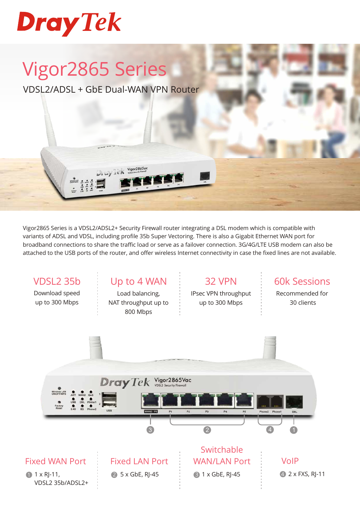

# Vigor2865 Series

VDSL2/ADSL + GbE Dual-WAN VPN Router

Vigor2865a

Vigor2865 Series is a VDSL2/ADSL2+ Security Firewall router integrating a DSL modem which is compatible with variants of ADSL and VDSL, including profile 35b Super Vectoring. There is also a Gigabit Ethernet WAN port for broadband connections to share the traffic load or serve as a failover connection. 3G/4G/LTE USB modem can also be attached to the USB ports of the router, and offer wireless Internet connectivity in case the fixed lines are not available.

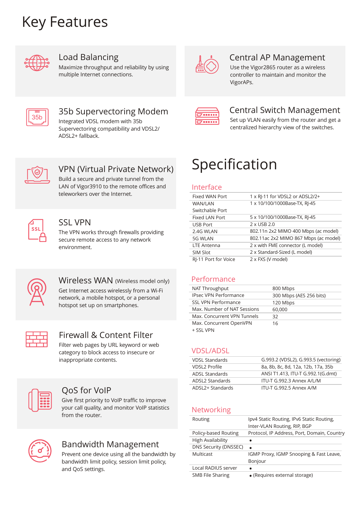## Key Features



## Load Balancing

Maximize throughput and reliability by using multiple Internet connections.



## Central AP Management

Use the Vigor2865 router as a wireless controller to maintain and monitor the VigorAPs.



## 35b Supervectoring Modem

Integrated VDSL modem with 35b Supervectoring compatibility and VDSL2/ ADSL2+ fallback.



## Central Switch Management

Set up VLAN easily from the router and get a centralized hierarchy view of the switches.



## VPN (Virtual Private Network)

Build a secure and private tunnel from the LAN of Vigor3910 to the remote offices and teleworkers over the Internet.



### SSL VPN

The VPN works through firewalls providing secure remote access to any network environment.



## Wireless WAN (Wireless model only)

Get Internet access wirelessly from a Wi-Fi network, a mobile hotspot, or a personal hotspot set up on smartphones.



## Firewall & Content Filter

Filter web pages by URL keyword or web category to block access to insecure or inappropriate contents.



## QoS for VoIP

Give first priority to VoIP traffic to improve your call quality, and monitor VoIP statistics from the router.



## Bandwidth Management

Prevent one device using all the bandwidth by bandwidth limit policy, session limit policy, and QoS settings.

## Specification

#### Interface

| Fixed WAN Port       | 1 x RI-11 for VDSL2 or ADSL2/2+       |
|----------------------|---------------------------------------|
| <b>WAN/LAN</b>       | 1 x 10/100/1000Base-TX, RJ-45         |
| Switchable Port      |                                       |
| Fixed LAN Port       | 5 x 10/100/1000Base-TX, RJ-45         |
| <b>USB Port</b>      | 2 x USB 2.0                           |
| 2.4G WLAN            | 802.11n 2x2 MIMO 400 Mbps (ac model)  |
| 5G WLAN              | 802.11ac 2x2 MIMO 867 Mbps (ac model) |
| <b>LTE Antenna</b>   | 2 x with FME connector (L model)      |
| SIM Slot             | 2 x Standard-Sized (L model)          |
| RI-11 Port for Voice | 2 x FXS (V model)                     |

#### Performance

| NAT Throughput               | 800 Mbps                |
|------------------------------|-------------------------|
| <b>IPsec VPN Performance</b> | 300 Mbps (AES 256 bits) |
| <b>SSL VPN Performance</b>   | 120 Mbps                |
| Max. Number of NAT Sessions  | 60,000                  |
| Max. Concurrent VPN Tunnels  | 32                      |
| Max. Concurrent OpenVPN      | 16                      |
| + SSL VPN                    |                         |

#### VDSL/ADSL

| <b>VDSL Standards</b> | G.993.2 (VDSL2), G.993.5 (vectoring) |
|-----------------------|--------------------------------------|
| VDSL2 Profile         | 8a, 8b, 8c, 8d, 12a, 12b, 17a, 35b   |
| ADSL Standards        | ANSI T1.413, ITU-T G.992.1(G.dmt)    |
| ADSL2 Standards       | ITU-T G.992.3 Annex A/L/M            |
| ADSL2+ Standards      | ITU-T G.992.5 Annex A/M              |

#### **Networking**

| Routing                  | Ipv4 Static Routing, IPv6 Static Routing,   |
|--------------------------|---------------------------------------------|
|                          | Inter-VLAN Routing, RIP, BGP                |
| Policy-based Routing     | Protocol, IP Address, Port, Domain, Country |
| <b>High Availability</b> |                                             |
| DNS Security (DNSSEC)    | ٠                                           |
| Multicast                | IGMP Proxy, IGMP Snooping & Fast Leave,     |
|                          | Bonjour                                     |
| Local RADIUS server      |                                             |
| SMB File Sharing         | • (Requires external storage)               |